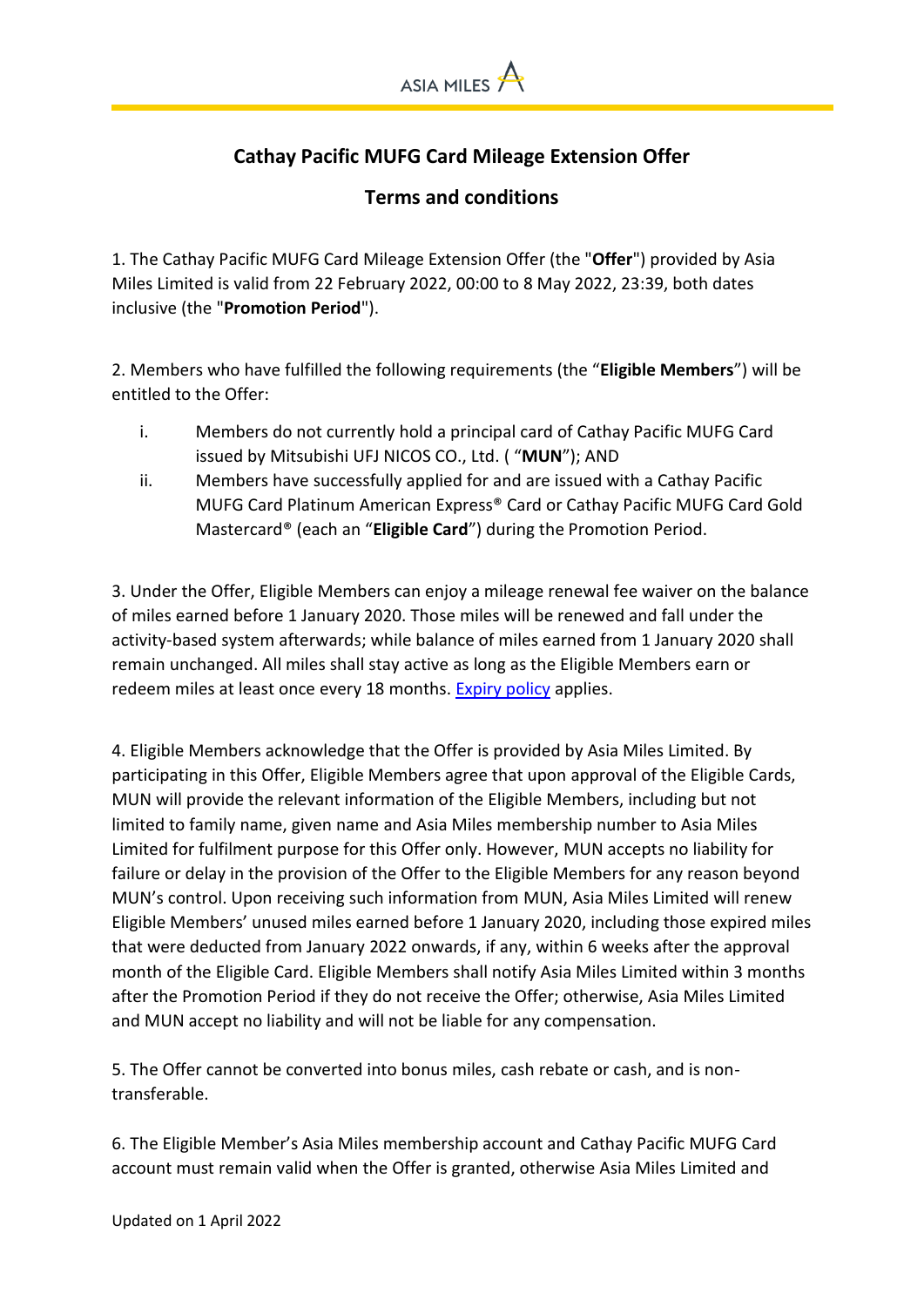

## **Cathay Pacific MUFG Card Mileage Extension Offer**

## **Terms and conditions**

1. The Cathay Pacific MUFG Card Mileage Extension Offer (the "**Offer**") provided by Asia Miles Limited is valid from 22 February 2022, 00:00 to 8 May 2022, 23:39, both dates inclusive (the "**Promotion Period**").

2. Members who have fulfilled the following requirements (the "**Eligible Members**") will be entitled to the Offer:

- i. Members do not currently hold a principal card of Cathay Pacific MUFG Card issued by Mitsubishi UFJ NICOS CO., Ltd. ( "**MUN**"); AND
- ii. Members have successfully applied for and are issued with a Cathay Pacific MUFG Card Platinum American Express® Card or Cathay Pacific MUFG Card Gold Mastercard® (each an "**Eligible Card**") during the Promotion Period.

3. Under the Offer, Eligible Members can enjoy a mileage renewal fee waiver on the balance of miles earned before 1 January 2020. Those miles will be renewed and fall under the activity-based system afterwards; while balance of miles earned from 1 January 2020 shall remain unchanged. All miles shall stay active as long as the Eligible Members earn or redeem miles at least once every 18 months. [Expiry policy](https://www.asiamiles.com/en/stayactive.html) applies.

4. Eligible Members acknowledge that the Offer is provided by Asia Miles Limited. By participating in this Offer, Eligible Members agree that upon approval of the Eligible Cards, MUN will provide the relevant information of the Eligible Members, including but not limited to family name, given name and Asia Miles membership number to Asia Miles Limited for fulfilment purpose for this Offer only. However, MUN accepts no liability for failure or delay in the provision of the Offer to the Eligible Members for any reason beyond MUN's control. Upon receiving such information from MUN, Asia Miles Limited will renew Eligible Members' unused miles earned before 1 January 2020, including those expired miles that were deducted from January 2022 onwards, if any, within 6 weeks after the approval month of the Eligible Card. Eligible Members shall notify Asia Miles Limited within 3 months after the Promotion Period if they do not receive the Offer; otherwise, Asia Miles Limited and MUN accept no liability and will not be liable for any compensation.

5. The Offer cannot be converted into bonus miles, cash rebate or cash, and is nontransferable.

6. The Eligible Member's Asia Miles membership account and Cathay Pacific MUFG Card account must remain valid when the Offer is granted, otherwise Asia Miles Limited and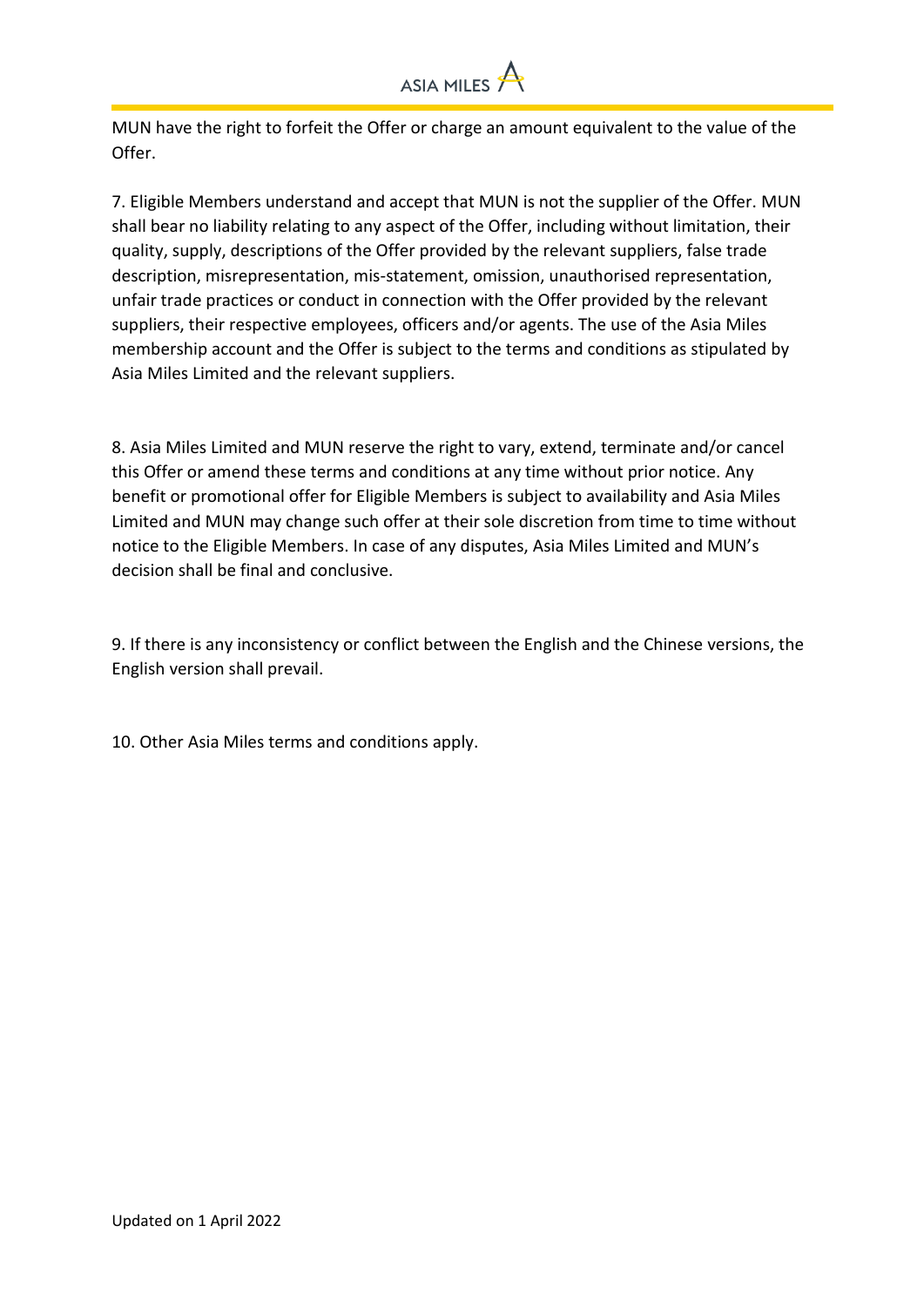

MUN have the right to forfeit the Offer or charge an amount equivalent to the value of the Offer.

7. Eligible Members understand and accept that MUN is not the supplier of the Offer. MUN shall bear no liability relating to any aspect of the Offer, including without limitation, their quality, supply, descriptions of the Offer provided by the relevant suppliers, false trade description, misrepresentation, mis-statement, omission, unauthorised representation, unfair trade practices or conduct in connection with the Offer provided by the relevant suppliers, their respective employees, officers and/or agents. The use of the Asia Miles membership account and the Offer is subject to the terms and conditions as stipulated by Asia Miles Limited and the relevant suppliers.

8. Asia Miles Limited and MUN reserve the right to vary, extend, terminate and/or cancel this Offer or amend these terms and conditions at any time without prior notice. Any benefit or promotional offer for Eligible Members is subject to availability and Asia Miles Limited and MUN may change such offer at their sole discretion from time to time without notice to the Eligible Members. In case of any disputes, Asia Miles Limited and MUN's decision shall be final and conclusive.

9. If there is any inconsistency or conflict between the English and the Chinese versions, the English version shall prevail.

10. Other Asia Miles terms and conditions apply.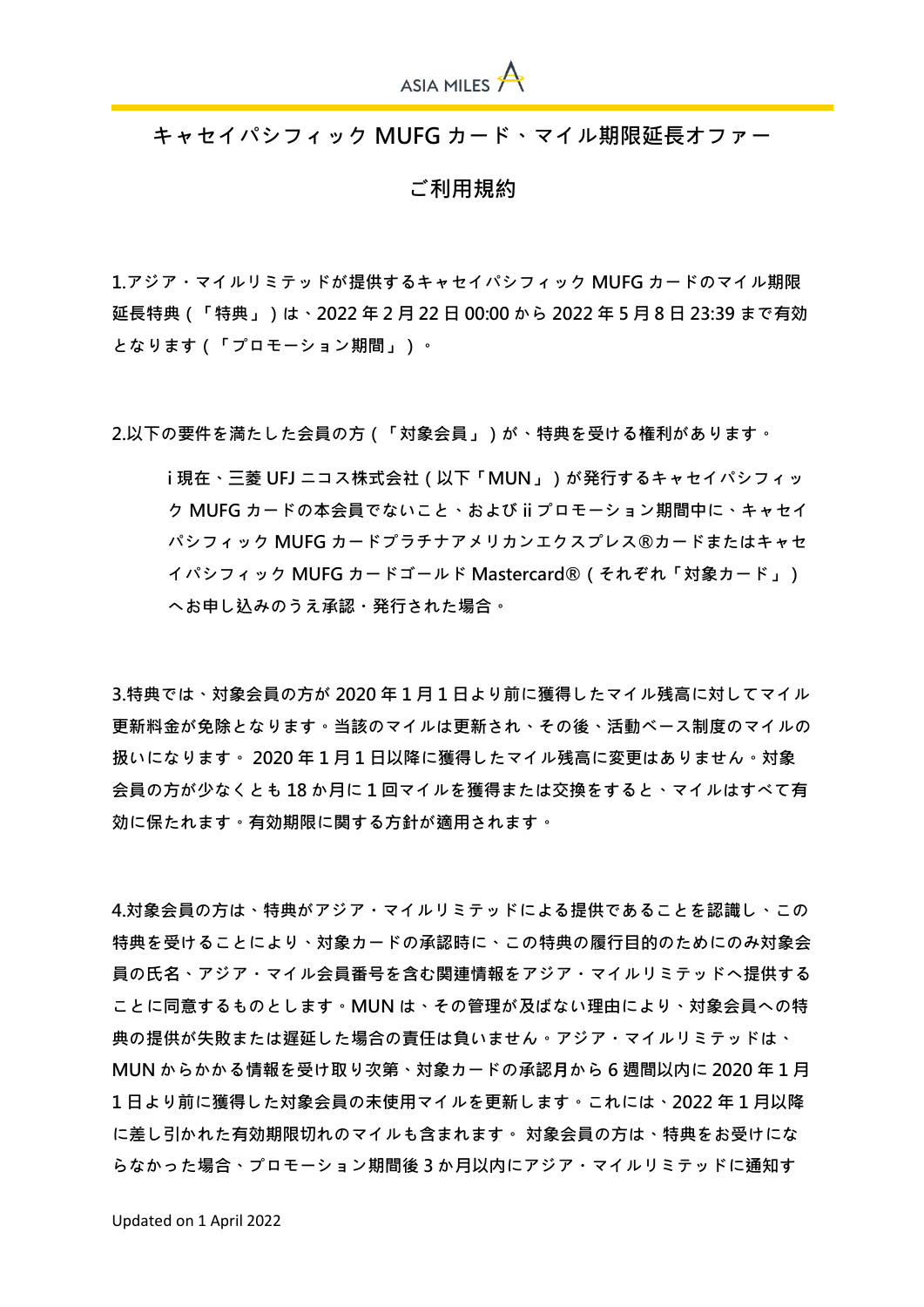

**キャセイパシフィック MUFG カード、マイル期限延長オファー**

**ご利用規約**

**1.アジア・マイルリミテッドが提供するキャセイパシフィック MUFG カードのマイル期限 延長特典(「特典」)は、2022 年 2 月 22 日 00:00 から 2022 年 5 月 8 日 23:39 まで有効 となります(「プロモーション期間」)。**

**2.以下の要件を満たした会員の方(「対象会員」)が、特典を受ける権利があります。**

**i 現在、三菱 UFJ ニコス株式会社(以下「MUN」)が発行するキャセイパシフィッ ク MUFG カードの本会員でないこと、および ii プロモーション期間中に、キャセイ パシフィック MUFG カードプラチナアメリカンエクスプレス®カードまたはキャセ イパシフィック MUFG カードゴールド Mastercard®(それぞれ「対象カード」) へお申し込みのうえ承認・発行された場合。**

**3.特典では、対象会員の方が 2020 年 1 月 1 日より前に獲得したマイル残高に対してマイル 更新料金が免除となります。当該のマイルは更新され、その後、活動ベース制度のマイルの 扱いになります。 2020 年 1 月 1 日以降に獲得したマイル残高に変更はありません。対象 会員の方が少なくとも 18 か月に 1 回マイルを獲得または交換をすると、マイルはすべて有 効に保たれます。有効期限に関する方針が適用されます。**

**4.対象会員の方は、特典がアジア・マイルリミテッドによる提供であることを認識し、この 特典を受けることにより、対象カードの承認時に、この特典の履行目的のためにのみ対象会 員の氏名、アジア・マイル会員番号を含む関連情報をアジア・マイルリミテッドへ提供する ことに同意するものとします。MUN は、その管理が及ばない理由により、対象会員への特 典の提供が失敗または遅延した場合の責任は負いません。アジア・マイルリミテッドは、 MUN からかかる情報を受け取り次第、対象カードの承認月から 6 週間以内に 2020 年 1 月 1 日より前に獲得した対象会員の未使用マイルを更新します。これには、2022 年 1 月以降 に差し引かれた有効期限切れのマイルも含まれます。 対象会員の方は、特典をお受けにな らなかった場合、プロモーション期間後 3 か月以内にアジア・マイルリミテッドに通知す**